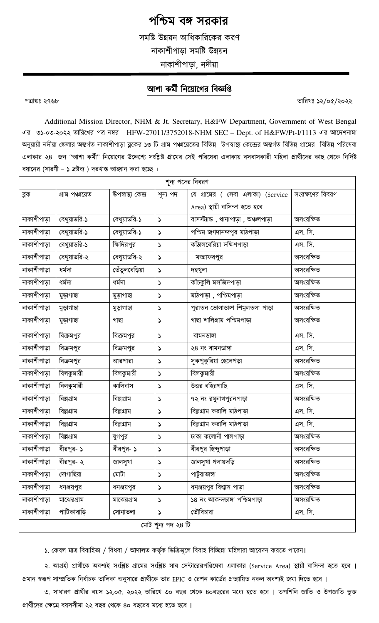পশ্চিম বঙ্গ সরকার

সমষ্টি উন্নয়ন আধিকারিকের করণ নাকাশীপাডা সমষ্টি উন্নয়ন নাকাশীপাড়া, নদীয়া

## আশা কর্মী নিয়োগের বিজ্ঞপ্তি

পত্ৰাঙ্কঃ ২৭৬৮

তারিখঃ ১২/০৫/২০২২

Additional Mission Director, NHM & Jt. Secretary, H&FW Department, Government of West Bengal এর ৩১-০৩-২০২২ তারিখের পত্র নম্বর HFW-27011/3752018-NHM SEC - Dept. of H&FW/Pt-I/1113 এর আদেশনামা অনুয়ায়ী নদীয়া জেলার অন্তর্গত নাকাশীপাড়া ব্লকের ১৩ টি গ্রাম পঞ্চায়েতের বিভিন্ন উপস্বাস্থ্য কেন্দ্রের অন্তর্গত বিভিন্ন গ্রামের বিভিন্ন পরিষেবা এলাকার ২৪ জন ''আশা কর্মী" নিয়োগের উদ্দেশ্যে সংশ্লিষ্ট গ্রামের সেই পরিষেবা এলাকায় বসবাসকারী মহিলা প্রার্থীদের কাছ থেকে নির্দিষ্ট বয়ানের (সারণী - ১ দ্রষ্টব্য ) দরখান্ত আহ্বান করা হচ্ছে ।

| শূন্য পদের বিবরণ   |                 |                     |          |                                                                     |                 |
|--------------------|-----------------|---------------------|----------|---------------------------------------------------------------------|-----------------|
| ব্লক               | গ্ৰাম পঞ্চায়েত | উপস্বাস্থ্য কেন্দ্ৰ | শূন্য পদ | যে গ্রামের ( সেবা এলাকা) (Service<br>Area) স্থায়ী বাসিন্দা হতে হবে | সংরক্ষণের বিবরণ |
| নাকাশীপাড়া        | বেথুয়াডরি-১    | বেথুয়াডরি-১        | ډ        | বাসস্ট্যান্ড, থানাপাড়া, অঞ্চলপাড়া                                 | অসংরক্ষিত       |
| নাকাশীপাড়া        | বেথুয়াডরি-১    | বেথুয়াডরি-১        | ډ        | পশ্চিম জগদানন্দপুর মাঠপাড়া                                         | এস. সি.         |
| নাকাশীপাড়া        | বেথুয়াডরি-১    | ক্ষিদিরপুর          | ر        | কাঁঠালবেরিয়া দক্ষিণপাড়া                                           | এস. সি.         |
| নাকাশীপাড়া        | বেথুয়াডরি-২    | বেথুয়াডরি-২        | ډ        | মজ্জাফরপুর                                                          | অসংরক্ষিত       |
| নাকাশীপাড়া        | ধৰ্মদা          | তেঁতুলবেড়িয়া      | ډ        | দহখুলা                                                              | অসংরক্ষিত       |
| নাকাশীপাড়া        | ধৰ্মদা          | ধৰ্মদা              | ډ        | কাঁচকুলি মসজিদপাড়া                                                 | অসংরক্ষিত       |
| নাকাশীপাড়া        | মুড়াগাছা       | মুড়াগাছা           | ډ        | মাঠপাড়া , পশ্চিমপাড়া                                              | অসংরক্ষিত       |
| নাকাশীপাড়া        | মুড়াগাছা       | মুড়াগাছা           | ډ        | পুরাতন ভোলাডাঙ্গা শিমুলতলা পাড়া                                    | অসংরক্ষিত       |
| নাকাশীপাড়া        | মুড়াগাছা       | গাছা                | د        | গাছা শালিগ্ৰাম পশ্চিমপাড়া                                          | অসংরক্ষিত       |
| নাকাশীপাড়া        | বিক্রমপুর       | বিক্রমপুর           | ډ        | বামনডাঙ্গা                                                          | এস. সি.         |
| নাকাশীপাড়া        | বিক্রমপুর       | বিক্রমপুর           | ډ        | ২৪ নং বামনডাঙ্গা                                                    | এস. সি.         |
| নাকাশীপাড়া        | বিক্রমপুর       | আরপারা              | د        | সুকপুকুরিয়া হেলেপড়া                                               | অসংরক্ষিত       |
| নাকাশীপাড়া        | বিলকুমারী       | বিলকুমারী           | ډ        | বিলকুমারী                                                           | অসংরক্ষিত       |
| নাকাশীপাড়া        | বিলকুমারী       | কালিবাস             | ډ        | উত্তর বহিরগাছি                                                      | এস. সি.         |
| নাকাশীপাড়া        | বিল্লগ্রাম      | বিল্লগ্রাম          | د        | ৭২ নং রঘুনাথপুরনপাড়া                                               | অসংরক্ষিত       |
| নাকাশীপাড়া        | বিল্লগ্রাম      | বিল্লগ্রাম          | ډ        | বিল্লগ্রাম করালি মাঠপাড়া                                           | এস. সি.         |
| নাকাশীপাড়া        | বিল্লগ্রাম      | বিল্লগ্রাম          | ډ        | বিল্লগ্রাম করালি মাঠপাড়া                                           | এস. সি.         |
| নাকাশীপাড়া        | বিল্লগ্রাম      | যুগপুর              | ډ        | ঢাকা কলোনী পালপাড়া                                                 | অসংরক্ষিত       |
| নাকাশীপাড়া        | বীরপুর- ১       | বীরপুর- ১           | ډ        | বীরপুর হিন্দুপাড়া                                                  | অসংরক্ষিত       |
| নাকাশীপাড়া        | বীরপুর- ২       | জালসুখা             | ډ        | জালসুখা গলায়দড়ি                                                   | অসংরক্ষিত       |
| নাকাশীপাড়া        | দোগাছিয়া       | মোটা                | د        | পাটুয়াভাঙ্গা                                                       | অসংরক্ষিত       |
| নাকাশীপাড়া        | ধনঞ্জয়পুর      | ধনঞ্জয়পুর          | ډ        | ধনঞ্জয়পুর বিশ্বাস পাড়া                                            | অসংরক্ষিত       |
| নাকাশীপাড়া        | মাঝেরগ্রাম      | মাঝেরগ্রাম          | د        | ১৪ নং আকন্দডাঙ্গা পশ্চিমপাড়া                                       | অসংরক্ষিত       |
| নাকাশীপাড়া        | পাটিকাবাড়ি     | সোনাতলা             | ډ        | তৌবিচারা                                                            | এস. সি.         |
| মোট শূন্য পদ ২৪ টি |                 |                     |          |                                                                     |                 |

১. কেবল মাত্র বিবাহিতা / বিধবা / আদালত কর্তৃক ডিক্রিমূলে বিবাহ বিচ্ছিন্না মহিলারা আবেদন করতে পারেন।

২. আগ্রহী প্রার্থীকে অবশ্যই সংশ্লিষ্ট গ্রামের সংশ্লিষ্ট সাব সেন্টারেরপরিষেবা এলাকার (Service Area) স্থায়ী বাসিন্দা হতে হবে । প্রমান স্বরূপ সাম্প্রতিক নির্বাচক তালিকা অনুসারে প্রার্থীকে তার EPIC ও রেশন কার্ডের প্রত্যায়িত নকল অবশ্যই জমা দিতে হবে ।

৩. সাধারণ প্রার্থীর বয়স ১২.০৫. ২০২২ তারিখে ৩০ বছর থেকে ৪০বছরের মধ্যে হতে হবে । তপশিলি জাতি ও উপজাতি ভুক্ত প্রার্থীদের ক্ষেত্রে বয়সসীমা ২২ বছর থেকে ৪০ বছরের মধ্যে হতে হবে।